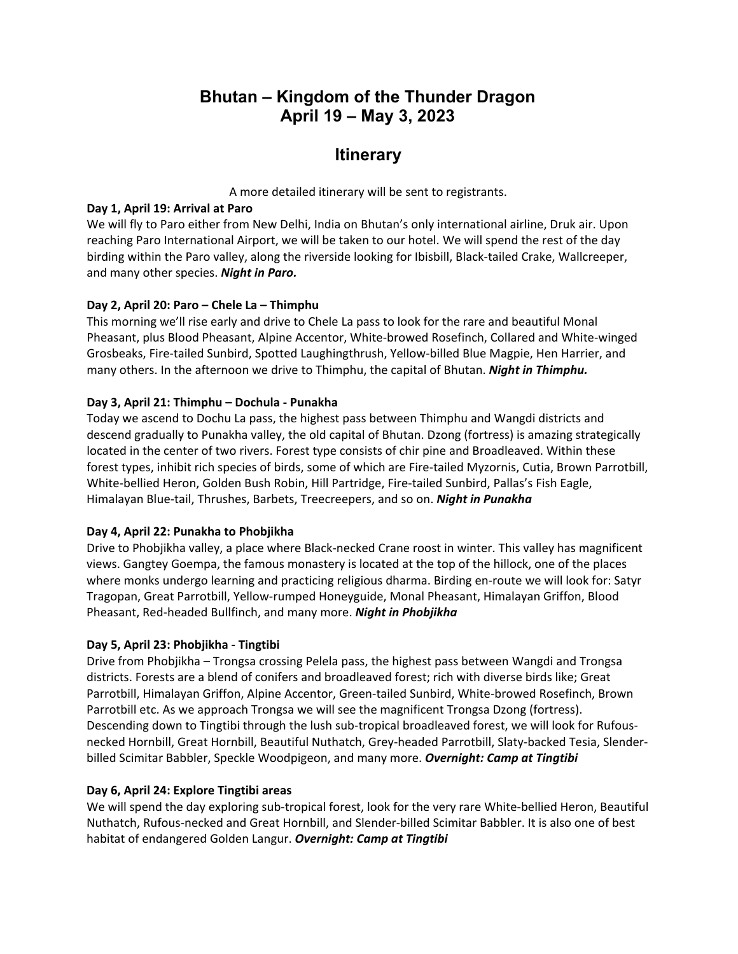# **Bhutan – Kingdom of the Thunder Dragon April 19 – May 3, 2023**

# **Itinerary**

A more detailed itinerary will be sent to registrants.

### **Day 1, April 19: Arrival at Paro**

We will fly to Paro either from New Delhi, India on Bhutan's only international airline, Druk air. Upon reaching Paro International Airport, we will be taken to our hotel. We will spend the rest of the day birding within the Paro valley, along the riverside looking for Ibisbill, Black-tailed Crake, Wallcreeper, and many other species. *Night in Paro.*

## **Day 2, April 20: Paro – Chele La – Thimphu**

This morning we'll rise early and drive to Chele La pass to look for the rare and beautiful Monal Pheasant, plus Blood Pheasant, Alpine Accentor, White-browed Rosefinch, Collared and White-winged Grosbeaks, Fire-tailed Sunbird, Spotted Laughingthrush, Yellow-billed Blue Magpie, Hen Harrier, and many others. In the afternoon we drive to Thimphu, the capital of Bhutan. *Night in Thimphu.*

## **Day 3, April 21: Thimphu – Dochula - Punakha**

Today we ascend to Dochu La pass, the highest pass between Thimphu and Wangdi districts and descend gradually to Punakha valley, the old capital of Bhutan. Dzong (fortress) is amazing strategically located in the center of two rivers. Forest type consists of chir pine and Broadleaved. Within these forest types, inhibit rich species of birds, some of which are Fire-tailed Myzornis, Cutia, Brown Parrotbill, White-bellied Heron, Golden Bush Robin, Hill Partridge, Fire-tailed Sunbird, Pallas's Fish Eagle, Himalayan Blue-tail, Thrushes, Barbets, Treecreepers, and so on. *Night in Punakha*

# **Day 4, April 22: Punakha to Phobjikha**

Drive to Phobjikha valley, a place where Black-necked Crane roost in winter. This valley has magnificent views. Gangtey Goempa, the famous monastery is located at the top of the hillock, one of the places where monks undergo learning and practicing religious dharma. Birding en-route we will look for: Satyr Tragopan, Great Parrotbill, Yellow-rumped Honeyguide, Monal Pheasant, Himalayan Griffon, Blood Pheasant, Red-headed Bullfinch, and many more. *Night in Phobjikha*

# **Day 5, April 23: Phobjikha - Tingtibi**

Drive from Phobjikha – Trongsa crossing Pelela pass, the highest pass between Wangdi and Trongsa districts. Forests are a blend of conifers and broadleaved forest; rich with diverse birds like; Great Parrotbill, Himalayan Griffon, Alpine Accentor, Green-tailed Sunbird, White-browed Rosefinch, Brown Parrotbill etc. As we approach Trongsa we will see the magnificent Trongsa Dzong (fortress). Descending down to Tingtibi through the lush sub-tropical broadleaved forest, we will look for Rufousnecked Hornbill, Great Hornbill, Beautiful Nuthatch, Grey-headed Parrotbill, Slaty-backed Tesia, Slenderbilled Scimitar Babbler, Speckle Woodpigeon, and many more. *Overnight: Camp at Tingtibi*

# **Day 6, April 24: Explore Tingtibi areas**

We will spend the day exploring sub-tropical forest, look for the very rare White-bellied Heron, Beautiful Nuthatch, Rufous-necked and Great Hornbill, and Slender-billed Scimitar Babbler. It is also one of best habitat of endangered Golden Langur. *Overnight: Camp at Tingtibi*